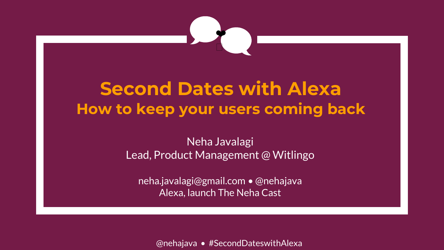

## **Second Dates with Alexa How to keep your users coming back**

#### Neha Javalagi Lead, Product Management @ Witlingo

neha.javalagi@gmail.com • @nehajava Alexa, launch The Neha Cast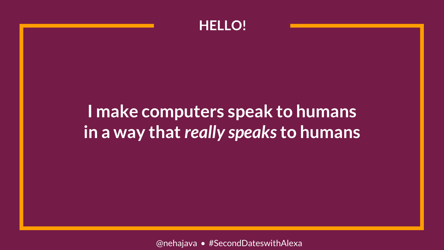

## **I make computers speak to humans in a way that** *really speaks* **to humans**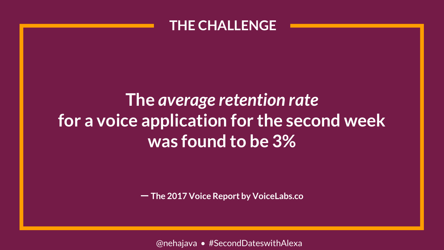#### **THE CHALLENGE**

# **The** *average retention rate* **for a voice application for the second week was found to be 3%**

一 **The 2017 Voice Report by VoiceLabs.co**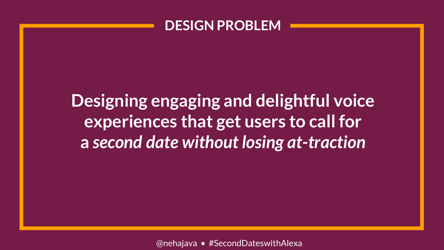#### **DESIGN PROBLEM**

**Designing engaging and delightful voice experiences that get users to call for a** *second date without losing at-traction*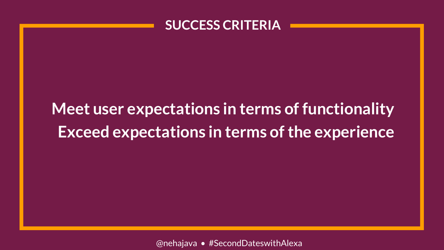

# **Meet user expectations in terms of functionality Exceed expectations in terms of the experience**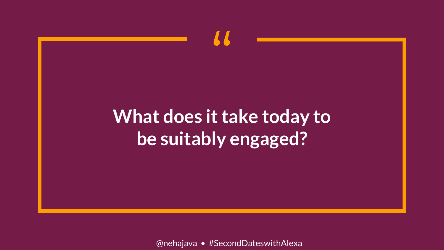# What does it take today to be suitably engaged?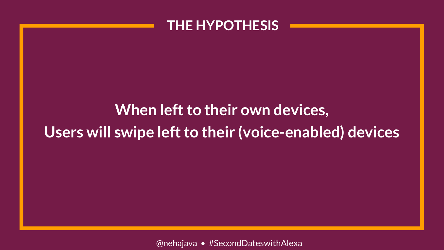#### **THE HYPOTHESIS**

## **When left to their own devices, Users will swipe left to their (voice-enabled) devices**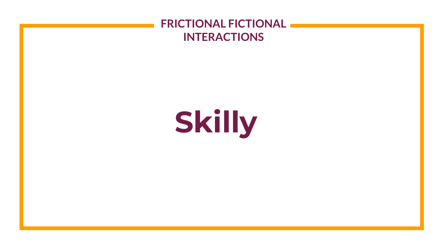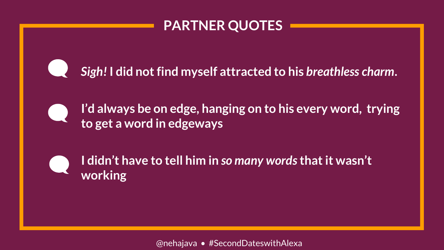

*Sigh!* **I did not find myself attracted to his** *breathless charm***.** 



**I'd always be on edge, hanging on to his every word, trying to get a word in edgeways**



**I didn't have to tell him in** *so many words***that it wasn't working**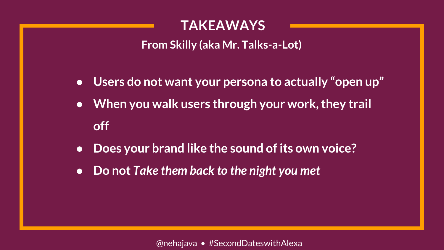**From Skilly (aka Mr. Talks-a-Lot)**

- **Users do not want your persona to actually "open up"**
- **When you walk users through your work, they trail off**
- **Does your brand like the sound of its own voice?**
- **Do not** *Take them back to the night you met*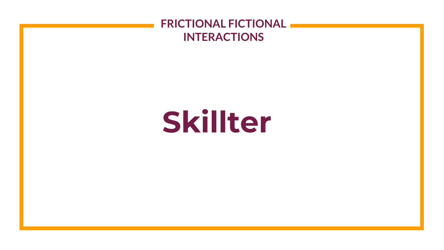#### **FRICTIONAL FICTIONAL INTERACTIONS**

# **Skillter**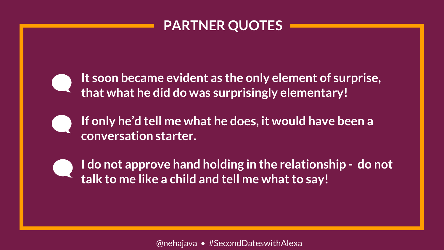**It soon became evident as the only element of surprise, that what he did do was surprisingly elementary!**

**If only he'd tell me what he does, it would have been a conversation starter.**

**I do not approve hand holding in the relationship - do not talk to me like a child and tell me what to say!**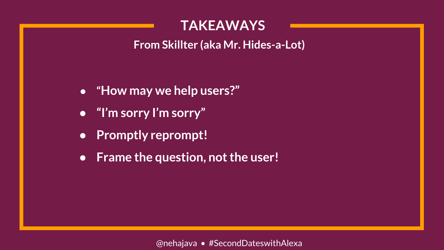**From Skillter (aka Mr. Hides-a-Lot)**

- **"How may we help users?"**
- **"I'm sorry I'm sorry"**
- **Promptly reprompt!**
- **Frame the question, not the user!**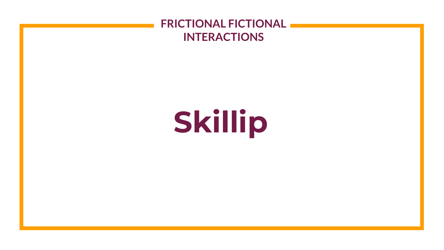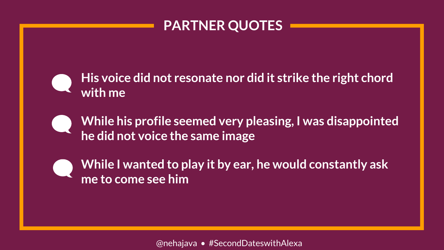

**His voice did not resonate nor did it strike the right chord with me**



**While his profile seemed very pleasing, I was disappointed he did not voice the same image**



**While I wanted to play it by ear, he would constantly ask me to come see him**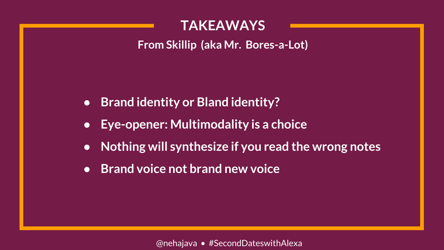**From Skillip (aka Mr. Bores-a-Lot)**

- **Brand identity or Bland identity?**
- **Eye-opener: Multimodality is a choice**
- **Nothing will synthesize if you read the wrong notes**
- **Brand voice not brand new voice**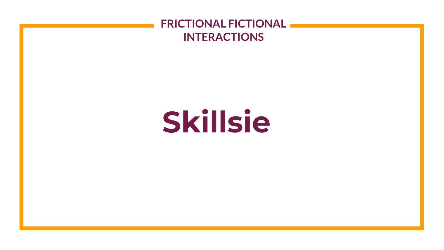#### **FRICTIONAL FICTIONAL INTERACTIONS**

# **Skillsie**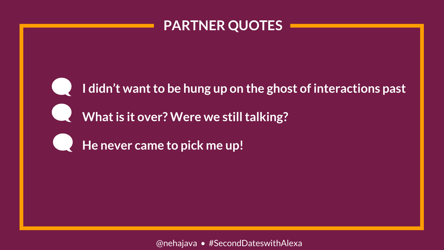

**I didn't want to be hung up on the ghost of interactions past**

What is it over? Were we still talking?

**He never came to pick me up!**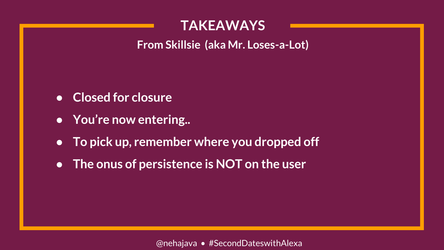**From Skillsie (aka Mr. Loses-a-Lot)**

- **Closed for closure**
- **You're now entering..**
- **To pick up, remember where you dropped off**
- **The onus of persistence is NOT on the user**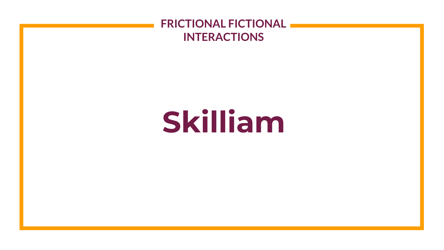#### **FRICTIONAL FICTIONAL INTERACTIONS**

# **Skilliam**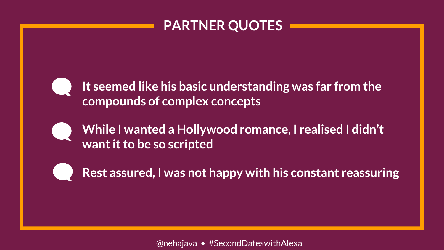**It seemed like his basic understanding was far from the compounds of complex concepts**

**While I wanted a Hollywood romance, I realised I didn't want it to be so scripted**

**Rest assured, I was not happy with his constant reassuring**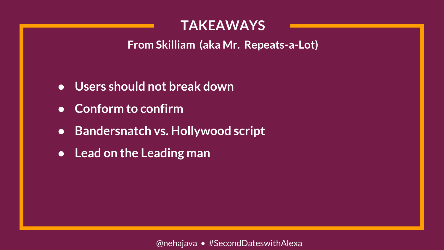**From Skilliam (aka Mr. Repeats-a-Lot)**

- **Users should not break down**
- **Conform to confirm**
- **Bandersnatch vs. Hollywood script**
- **Lead on the Leading man**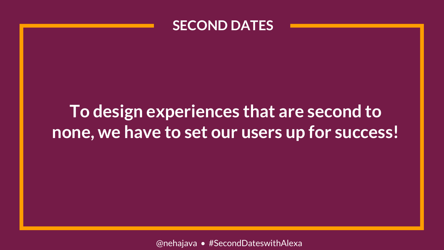

## **To design experiences that are second to none, we have to set our users up for success!**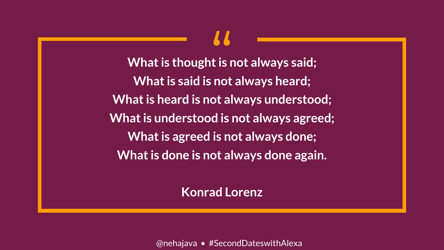**What is thought is not always said; What is said is not always heard;**  $\begin{array}{c} \n\bullet \bullet \\
\bullet \bullet \\
\bullet \bullet \\
\bullet \bullet\n\end{array}$ **What is heard is not always understood; What is understood is not always agreed; What is agreed is not always done; What is done is not always done again.**

**Konrad Lorenz**